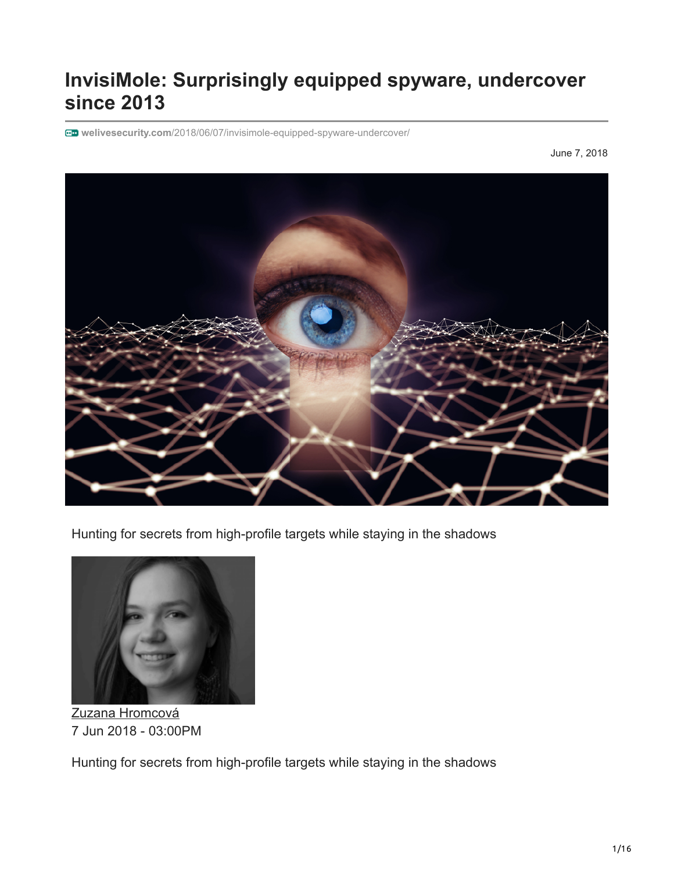# **InvisiMole: Surprisingly equipped spyware, undercover since 2013**

**welivesecurity.com**[/2018/06/07/invisimole-equipped-spyware-undercover/](https://www.welivesecurity.com/2018/06/07/invisimole-equipped-spyware-undercover/)

June 7, 2018



Hunting for secrets from high-profile targets while staying in the shadows



[Zuzana Hromcová](https://www.welivesecurity.com/author/zhromcova/) 7 Jun 2018 - 03:00PM

Hunting for secrets from high-profile targets while staying in the shadows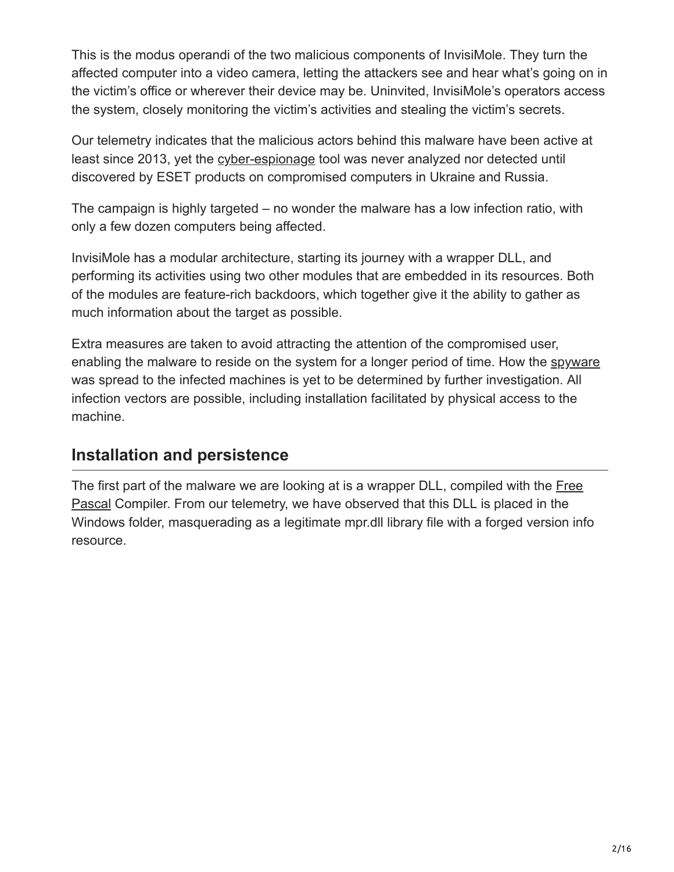This is the modus operandi of the two malicious components of InvisiMole. They turn the affected computer into a video camera, letting the attackers see and hear what's going on in the victim's office or wherever their device may be. Uninvited, InvisiMole's operators access the system, closely monitoring the victim's activities and stealing the victim's secrets.

Our telemetry indicates that the malicious actors behind this malware have been active at least since 2013, yet the [cyber-espionage](https://www.welivesecurity.com/category/espionage/) tool was never analyzed nor detected until discovered by ESET products on compromised computers in Ukraine and Russia.

The campaign is highly targeted – no wonder the malware has a low infection ratio, with only a few dozen computers being affected.

InvisiMole has a modular architecture, starting its journey with a wrapper DLL, and performing its activities using two other modules that are embedded in its resources. Both of the modules are feature-rich backdoors, which together give it the ability to gather as much information about the target as possible.

Extra measures are taken to avoid attracting the attention of the compromised user, enabling the malware to reside on the system for a longer period of time. How the [spyware](https://www.welivesecurity.com/category/spyware/) was spread to the infected machines is yet to be determined by further investigation. All infection vectors are possible, including installation facilitated by physical access to the machine.

## **Installation and persistence**

[The first part of the malware we are looking at is a wrapper DLL, compiled with the Free](https://www.freepascal.org/) Pascal Compiler. From our telemetry, we have observed that this DLL is placed in the Windows folder, masquerading as a legitimate mpr.dll library file with a forged version info resource.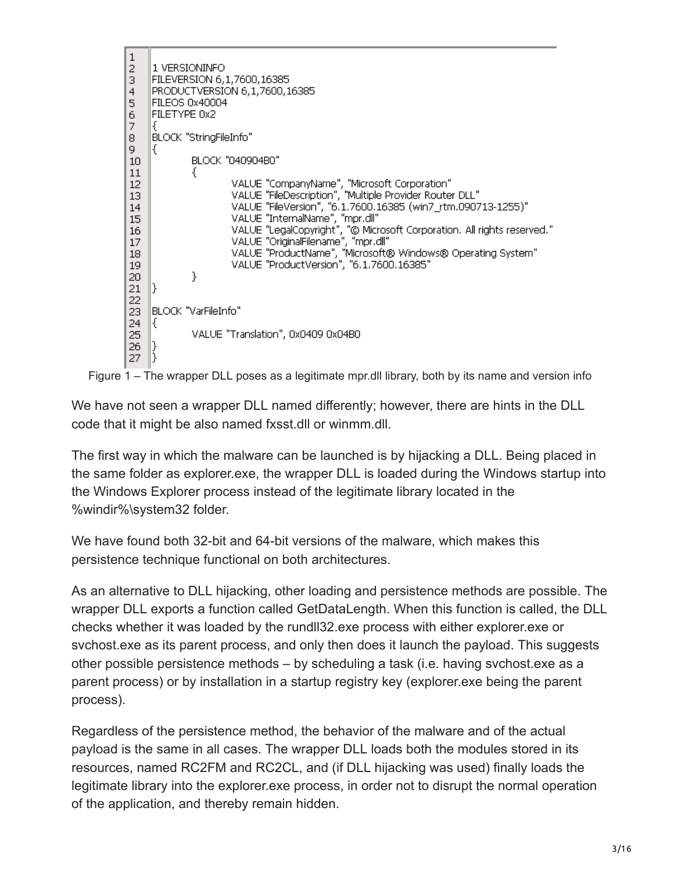



We have not seen a wrapper DLL named differently; however, there are hints in the DLL code that it might be also named fxsst.dll or winmm.dll.

The first way in which the malware can be launched is by hijacking a DLL. Being placed in the same folder as explorer.exe, the wrapper DLL is loaded during the Windows startup into the Windows Explorer process instead of the legitimate library located in the %windir%\system32 folder.

We have found both 32-bit and 64-bit versions of the malware, which makes this persistence technique functional on both architectures.

As an alternative to DLL hijacking, other loading and persistence methods are possible. The wrapper DLL exports a function called GetDataLength. When this function is called, the DLL checks whether it was loaded by the rundll32.exe process with either explorer.exe or svchost.exe as its parent process, and only then does it launch the payload. This suggests other possible persistence methods – by scheduling a task (i.e. having svchost.exe as a parent process) or by installation in a startup registry key (explorer.exe being the parent process).

Regardless of the persistence method, the behavior of the malware and of the actual payload is the same in all cases. The wrapper DLL loads both the modules stored in its resources, named RC2FM and RC2CL, and (if DLL hijacking was used) finally loads the legitimate library into the explorer.exe process, in order not to disrupt the normal operation of the application, and thereby remain hidden.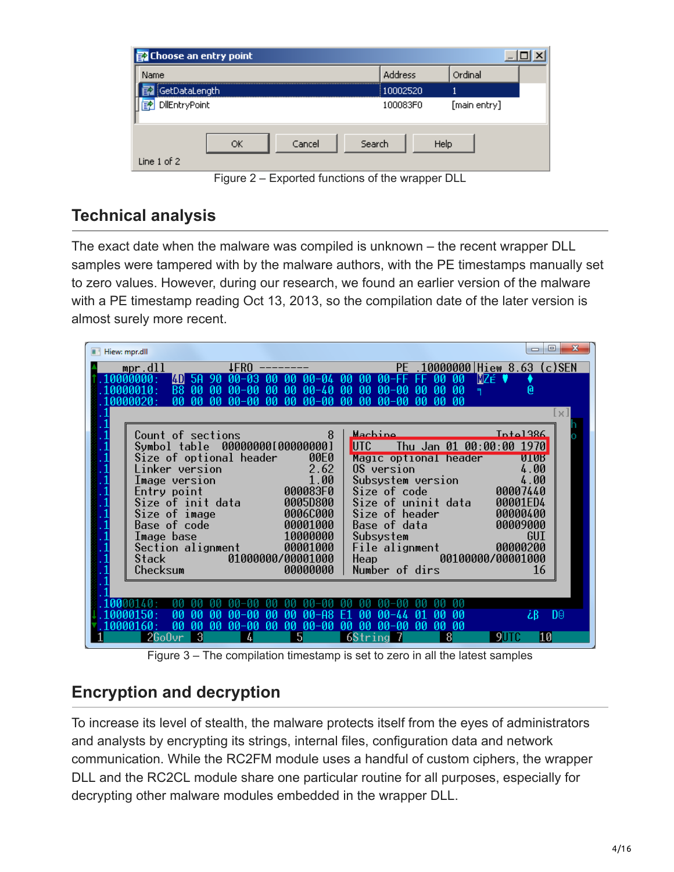| Choose an entry point       |                |              |
|-----------------------------|----------------|--------------|
| Name                        | Address        | Ordinal      |
| GetDataLength               | 10002520       |              |
| DilEntryPoint<br>E?         | 100083F0       | [main entry] |
| Cancel<br>ОК<br>Line 1 of 2 | Search<br>Help |              |

Figure 2 – Exported functions of the wrapper DLL

## **Technical analysis**

The exact date when the malware was compiled is unknown – the recent wrapper DLL samples were tampered with by the malware authors, with the PE timestamps manually set to zero values. However, during our research, we found an earlier version of the malware with a PE timestamp reading Oct 13, 2013, so the compilation date of the later version is almost surely more recent.

| Hiew: mpr.dll                                                                                                                                                                                          | х<br>▣              |
|--------------------------------------------------------------------------------------------------------------------------------------------------------------------------------------------------------|---------------------|
| $mpr$ .dll<br><b>IFRO</b><br>.10000000 Hiew 8.63 (c)SEN<br>РF                                                                                                                                          |                     |
| aaaaaaa .<br>[4D]<br>aa-<br>-из<br>-MA<br>ЙÑ<br>-MA<br>MZÉ .<br>ии-и4<br>00-FF<br>ии<br>ии<br>ΗF                                                                                                       |                     |
| 0.000010:<br><b>B8</b><br>00<br>$00 - 40$<br>-00<br>$00 - 00$<br>-MA<br>00<br>ิดด-ดด<br>-00<br>-00<br>00<br>00<br>øø<br>٩<br>$00 - 00$<br>MA-<br>MA.<br>nn<br>m<br>ิดค–ดด<br>ดดดดด2ด :<br>aa<br>m<br>M | @                   |
|                                                                                                                                                                                                        | l x I               |
|                                                                                                                                                                                                        |                     |
| Inta1386<br>Machine<br>8<br>Count of sections                                                                                                                                                          |                     |
| Symbol table 00000000[00000000]<br>UTC<br>Thu Jan 01 00:00:00 1970                                                                                                                                     |                     |
| Size of optional header<br><b>00E0</b><br>Magic optional header<br>2.62<br>OS version<br>Linker version                                                                                                | <b>NTAR</b><br>4.00 |
| 1.00<br>Subsystem version<br>Image version                                                                                                                                                             | 4.00                |
| 000083F0<br>00007440<br>Size of code<br>Entry point                                                                                                                                                    |                     |
| Size of init data<br>Size of uninit data<br>0005D800<br>00001ED4                                                                                                                                       |                     |
| 00000400<br>0006C000<br>Size of header<br>Size of image                                                                                                                                                |                     |
| 00009000<br>Base of code<br>00001000<br>Base of data<br>10000000<br>Image base<br>Subsystem                                                                                                            | GUI                 |
| 00001000<br>00000200<br>Section alignment<br>File alignment                                                                                                                                            |                     |
| 00100000/00001000<br>01000000/00001000<br>Heap and the state of the state of the state of the state of the state of the state of the state of the state<br>Stack                                       |                     |
| Number of dirs<br>00000000<br>Checksum                                                                                                                                                                 | 16                  |
|                                                                                                                                                                                                        |                     |
|                                                                                                                                                                                                        |                     |
| øø<br>ØØ<br>aa<br>m<br>m<br>ดด–คล<br>aa<br>m<br>aa<br>00-44<br>Й1<br>F1                                                                                                                                | żΒ<br>D0            |
| 00<br>-MA<br>$00 - 00$<br>00<br>m<br>ิดด-ดด<br>00<br>00-00<br>MA.<br>-MA<br>00<br>ma<br>M                                                                                                              |                     |
| -3<br>$26$ o $0$ vr<br>5<br>6String<br>8<br>4                                                                                                                                                          | 10                  |

Figure 3 – The compilation timestamp is set to zero in all the latest samples

## **Encryption and decryption**

To increase its level of stealth, the malware protects itself from the eyes of administrators and analysts by encrypting its strings, internal files, configuration data and network communication. While the RC2FM module uses a handful of custom ciphers, the wrapper DLL and the RC2CL module share one particular routine for all purposes, especially for decrypting other malware modules embedded in the wrapper DLL.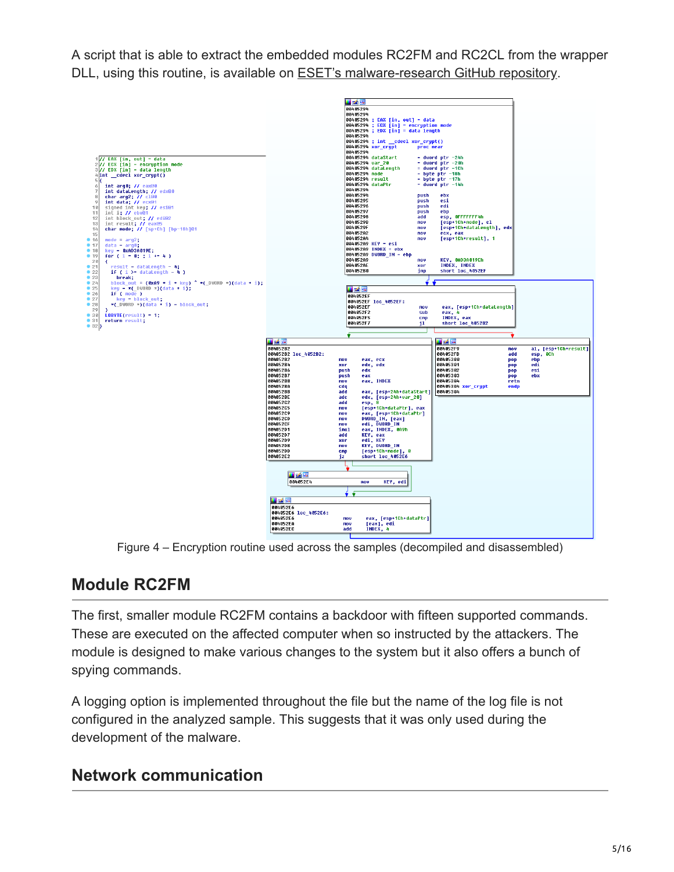A script that is able to extract the embedded modules RC2FM and RC2CL from the wrapper DLL, using this routine, is available on **[ESET's malware-research GitHub repository](https://github.com/eset/malware-research/tree/master/invisimole)**.



Figure 4 – Encryption routine used across the samples (decompiled and disassembled)

## **Module RC2FM**

The first, smaller module RC2FM contains a backdoor with fifteen supported commands. These are executed on the affected computer when so instructed by the attackers. The module is designed to make various changes to the system but it also offers a bunch of spying commands.

A logging option is implemented throughout the file but the name of the log file is not configured in the analyzed sample. This suggests that it was only used during the development of the malware.

## **Network communication**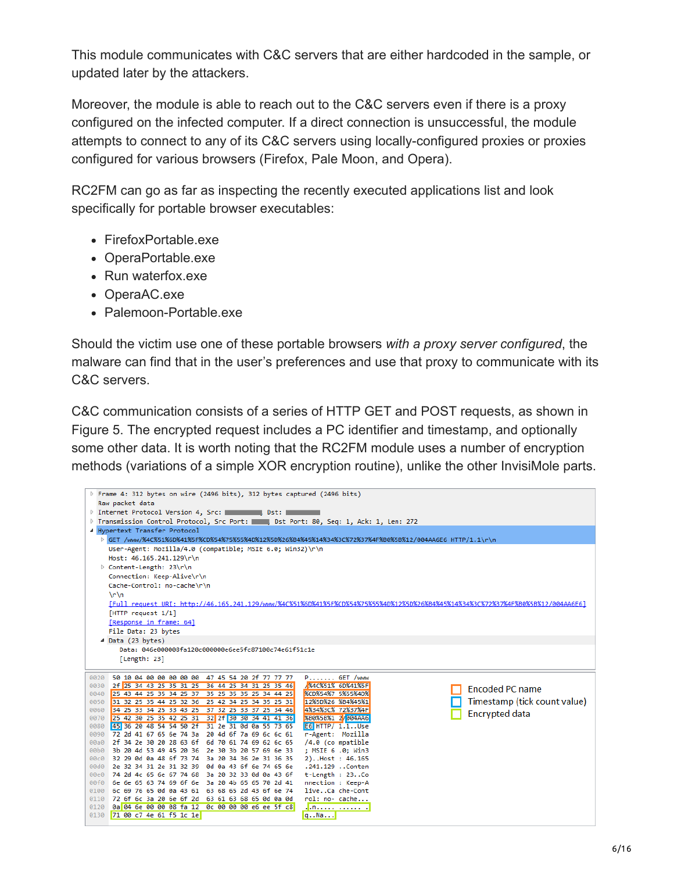This module communicates with C&C servers that are either hardcoded in the sample, or updated later by the attackers.

Moreover, the module is able to reach out to the C&C servers even if there is a proxy configured on the infected computer. If a direct connection is unsuccessful, the module attempts to connect to any of its C&C servers using locally-configured proxies or proxies configured for various browsers (Firefox, Pale Moon, and Opera).

RC2FM can go as far as inspecting the recently executed applications list and look specifically for portable browser executables:

- FirefoxPortable.exe
- OperaPortable.exe
- Run waterfox.exe
- OperaAC.exe
- Palemoon-Portable.exe

Should the victim use one of these portable browsers *with a proxy server configured*, the malware can find that in the user's preferences and use that proxy to communicate with its C&C servers.

C&C communication consists of a series of HTTP GET and POST requests, as shown in Figure 5. The encrypted request includes a PC identifier and timestamp, and optionally some other data. It is worth noting that the RC2FM module uses a number of encryption methods (variations of a simple XOR encryption routine), unlike the other InvisiMole parts.

| P Frame 4: 312 bytes on wire (2496 bits), 312 bytes captured (2496 bits)                                                        |                                          |                              |
|---------------------------------------------------------------------------------------------------------------------------------|------------------------------------------|------------------------------|
| Raw packet data                                                                                                                 |                                          |                              |
| Dist: I                                                                                                                         |                                          |                              |
| Transmission Control Protocol, Src Port: Dist Port: 80, Seq: 1, Ack: 1, Len: 272                                                |                                          |                              |
| 4 Hypertext Transfer Protocol                                                                                                   |                                          |                              |
| D GET /www/%4C%51%6D%41%5F%CD%54%75%55%4D%12%5D%26%B4%45%14%34%3C%72%37%4F%B0%5B%12/004AA6E6 HTTP/1.1\r\n                       |                                          |                              |
| User-Agent: Mozilla/4.0 (compatible; MSIE 6.0; Win32)\r\n                                                                       |                                          |                              |
| Host: 46.165.241.129\r\n                                                                                                        |                                          |                              |
| ▷ Content-Length: 23\r\n                                                                                                        |                                          |                              |
| Connection: Keep-Alive\r\n                                                                                                      |                                          |                              |
| Cache-Control: no-cache\r\n                                                                                                     |                                          |                              |
| $\ln \ln$                                                                                                                       |                                          |                              |
| [Full request URI: http://46.165.241.129/www/%4C%51%6D%41%5F%CD%54%75%55%4D%12%5D%26%B4%45%14%34%3C%72%37%4F%B0%5B%12/004AA6E6] |                                          |                              |
| [HTTP request 1/1]                                                                                                              |                                          |                              |
| [Response in frame: 64]                                                                                                         |                                          |                              |
| File Data: 23 bytes                                                                                                             |                                          |                              |
| 4 Data (23 bytes)                                                                                                               |                                          |                              |
| Data: 046e000008fa120c000000e6ee5fc87100c74e61f51c1e                                                                            |                                          |                              |
| [Length: 23]                                                                                                                    |                                          |                              |
| 50 10 04 00 00 00 00 00 47 45 54 20 2f 77 77 77<br>0020                                                                         | $P$ GET /www                             |                              |
| 2f 25 34 43 25 35 31 25 36 44 25 34 31 25 35 46<br>0030                                                                         | <b>X4CX51X 6DX41X5F</b>                  |                              |
| 0040 25 43 44 25 35 34 25 37 35 25 35 35 25 34 44 25                                                                            | <b>XCD%54%7 5%55%4D%</b>                 | <b>Encoded PC name</b>       |
| 0050 31 32 25 35 44 25 32 36 25 42 34 25 34 35 25 31                                                                            | 12%5D%26 %B4%45%1                        | Timestamp (tick count value) |
| 0060 34 25 33 34 25 33 43 25 37 32 25 33 37 25 34 46                                                                            | 4%34%3C% 72%37%4F                        | <b>Encrypted data</b>        |
| 0070 25 42 30 25 35 42 25 31 32 2f 30 30 34 41 41 36                                                                            | XB0X5BX1 2/004AA6                        |                              |
| 45 36 20 48 54 54 50 2f 31 2e 31 0d 0a 55 73 65<br>0080                                                                         | <b>E6 HTTP/ 1.1Use</b>                   |                              |
| 0090<br>72 2d 41 67 65 6e 74 3a 20 4d 6f 7a 69 6c 6c 61                                                                         | r-Agent: Mozilla                         |                              |
| 2f 34 2e 30 20 28 63 6f 6d 70 61 74 69 62 6c 65<br>00a0<br>00b0 3b 20 4d 53 49 45 20 36 2e 30 3b 20 57 69 6e 33                 | $/4.0$ (co mpatible<br>; MSIE 6 .0; Win3 |                              |
| 00c0 32 29 0d 0a 48 6f 73 74 3a 20 34 36 2e 31 36 35                                                                            | 2)Host: 46.165                           |                              |
| 2e 32 34 31 2e 31 32 39 0d 0a 43 6f 6e 74 65 6e<br>00d0                                                                         | .241.129 Conten                          |                              |
| 00e0 74 2d 4c 65 6e 67 74 68 3a 20 32 33 0d 0a 43 6f                                                                            | t-Length : 23Co                          |                              |
| 00f0 6e 6e 65 63 74 69 6f 6e 3a 20 4b 65 65 70 2d 41                                                                            | nnection : Keep-A                        |                              |
| 0100 6c 69 76 65 0d 0a 43 61 63 68 65 2d 43 6f 6e 74                                                                            | liveCa che-Cont                          |                              |
| 0110 72 6f 6c 3a 20 6e 6f 2d 63 61 63 68 65 0d 0a 0d                                                                            | rol: no- cache                           |                              |
| 0a 04 6e 00 00 08 fa 12 0c 00 00 00 e6 ee 5f c8<br>0120                                                                         | . n.                                     |                              |
| 0130 71 00 c7 4e 61 f5 1c 1e                                                                                                    | $q$ Na                                   |                              |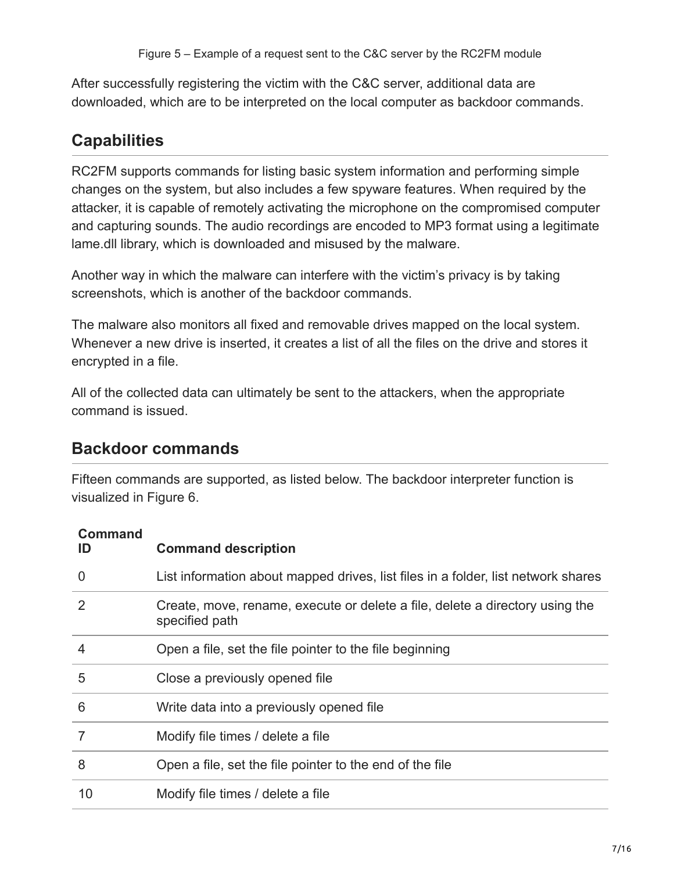After successfully registering the victim with the C&C server, additional data are downloaded, which are to be interpreted on the local computer as backdoor commands.

## **Capabilities**

RC2FM supports commands for listing basic system information and performing simple changes on the system, but also includes a few spyware features. When required by the attacker, it is capable of remotely activating the microphone on the compromised computer and capturing sounds. The audio recordings are encoded to MP3 format using a legitimate lame.dll library, which is downloaded and misused by the malware.

Another way in which the malware can interfere with the victim's privacy is by taking screenshots, which is another of the backdoor commands.

The malware also monitors all fixed and removable drives mapped on the local system. Whenever a new drive is inserted, it creates a list of all the files on the drive and stores it encrypted in a file.

All of the collected data can ultimately be sent to the attackers, when the appropriate command is issued.

## **Backdoor commands**

Fifteen commands are supported, as listed below. The backdoor interpreter function is visualized in Figure 6.

#### **Command**

| ID             | <b>Command description</b>                                                                     |
|----------------|------------------------------------------------------------------------------------------------|
| $\overline{0}$ | List information about mapped drives, list files in a folder, list network shares              |
| 2              | Create, move, rename, execute or delete a file, delete a directory using the<br>specified path |
| 4              | Open a file, set the file pointer to the file beginning                                        |
| 5              | Close a previously opened file                                                                 |
| 6              | Write data into a previously opened file                                                       |
|                | Modify file times / delete a file                                                              |
| 8              | Open a file, set the file pointer to the end of the file                                       |
| 10             | Modify file times / delete a file                                                              |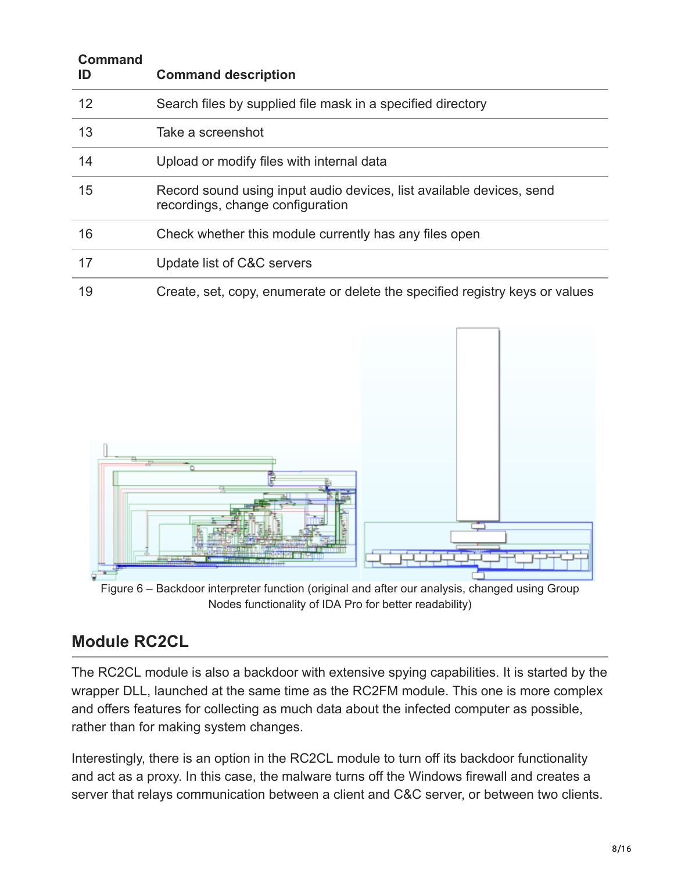| <b>Command</b><br>ID | <b>Command description</b>                                                                               |
|----------------------|----------------------------------------------------------------------------------------------------------|
| 12                   | Search files by supplied file mask in a specified directory                                              |
| 13                   | Take a screenshot                                                                                        |
| 14                   | Upload or modify files with internal data                                                                |
| 15                   | Record sound using input audio devices, list available devices, send<br>recordings, change configuration |
| 16                   | Check whether this module currently has any files open                                                   |
| 17                   | Update list of C&C servers                                                                               |
| 19                   | Create, set, copy, enumerate or delete the specified registry keys or values                             |



Figure 6 – Backdoor interpreter function (original and after our analysis, changed using Group Nodes functionality of IDA Pro for better readability)

## **Module RC2CL**

The RC2CL module is also a backdoor with extensive spying capabilities. It is started by the wrapper DLL, launched at the same time as the RC2FM module. This one is more complex and offers features for collecting as much data about the infected computer as possible, rather than for making system changes.

Interestingly, there is an option in the RC2CL module to turn off its backdoor functionality and act as a proxy. In this case, the malware turns off the Windows firewall and creates a server that relays communication between a client and C&C server, or between two clients.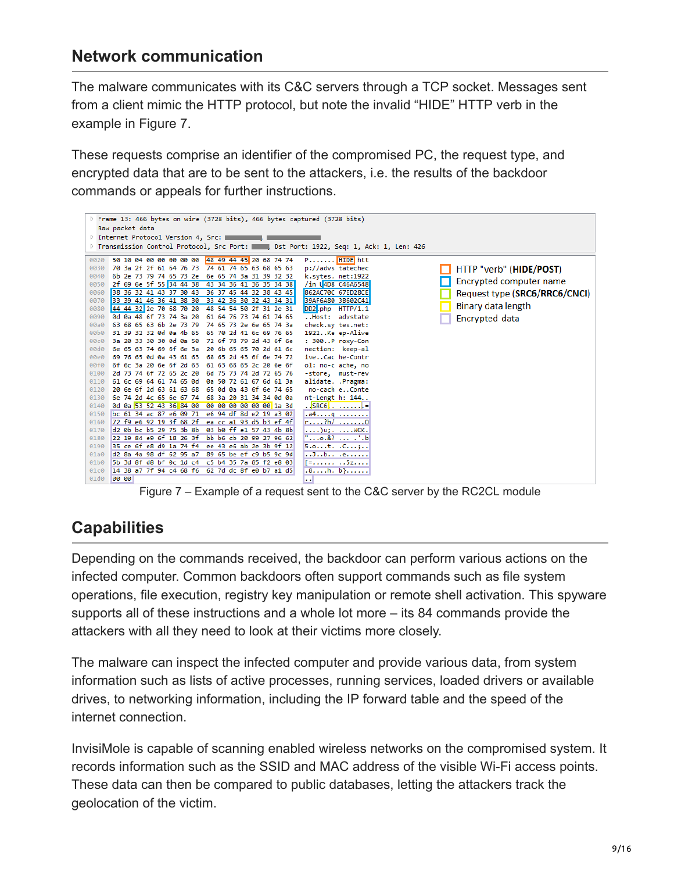## **Network communication**

The malware communicates with its C&C servers through a TCP socket. Messages sent from a client mimic the HTTP protocol, but note the invalid "HIDE" HTTP verb in the example in Figure 7.

These requests comprise an identifier of the compromised PC, the request type, and encrypted data that are to be sent to the attackers, i.e. the results of the backdoor commands or appeals for further instructions.



Figure 7 – Example of a request sent to the C&C server by the RC2CL module

## **Capabilities**

Depending on the commands received, the backdoor can perform various actions on the infected computer. Common backdoors often support commands such as file system operations, file execution, registry key manipulation or remote shell activation. This spyware supports all of these instructions and a whole lot more – its 84 commands provide the attackers with all they need to look at their victims more closely.

The malware can inspect the infected computer and provide various data, from system information such as lists of active processes, running services, loaded drivers or available drives, to networking information, including the IP forward table and the speed of the internet connection.

InvisiMole is capable of scanning enabled wireless networks on the compromised system. It records information such as the SSID and MAC address of the visible Wi-Fi access points. These data can then be compared to public databases, letting the attackers track the geolocation of the victim.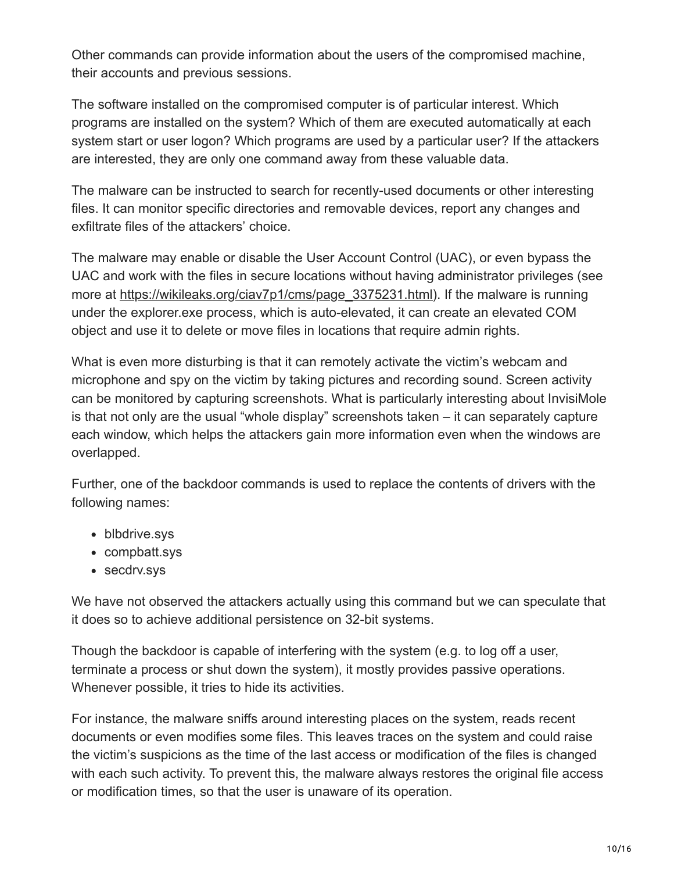Other commands can provide information about the users of the compromised machine, their accounts and previous sessions.

The software installed on the compromised computer is of particular interest. Which programs are installed on the system? Which of them are executed automatically at each system start or user logon? Which programs are used by a particular user? If the attackers are interested, they are only one command away from these valuable data.

The malware can be instructed to search for recently-used documents or other interesting files. It can monitor specific directories and removable devices, report any changes and exfiltrate files of the attackers' choice.

The malware may enable or disable the User Account Control (UAC), or even bypass the UAC and work with the files in secure locations without having administrator privileges (see more at [https://wikileaks.org/ciav7p1/cms/page\\_3375231.html](https://wikileaks.org/ciav7p1/cms/page_3375231.html)). If the malware is running under the explorer.exe process, which is auto-elevated, it can create an elevated COM object and use it to delete or move files in locations that require admin rights.

What is even more disturbing is that it can remotely activate the victim's webcam and microphone and spy on the victim by taking pictures and recording sound. Screen activity can be monitored by capturing screenshots. What is particularly interesting about InvisiMole is that not only are the usual "whole display" screenshots taken – it can separately capture each window, which helps the attackers gain more information even when the windows are overlapped.

Further, one of the backdoor commands is used to replace the contents of drivers with the following names:

- blbdrive.sys
- compbatt.sys
- secdrv.sys

We have not observed the attackers actually using this command but we can speculate that it does so to achieve additional persistence on 32-bit systems.

Though the backdoor is capable of interfering with the system (e.g. to log off a user, terminate a process or shut down the system), it mostly provides passive operations. Whenever possible, it tries to hide its activities.

For instance, the malware sniffs around interesting places on the system, reads recent documents or even modifies some files. This leaves traces on the system and could raise the victim's suspicions as the time of the last access or modification of the files is changed with each such activity. To prevent this, the malware always restores the original file access or modification times, so that the user is unaware of its operation.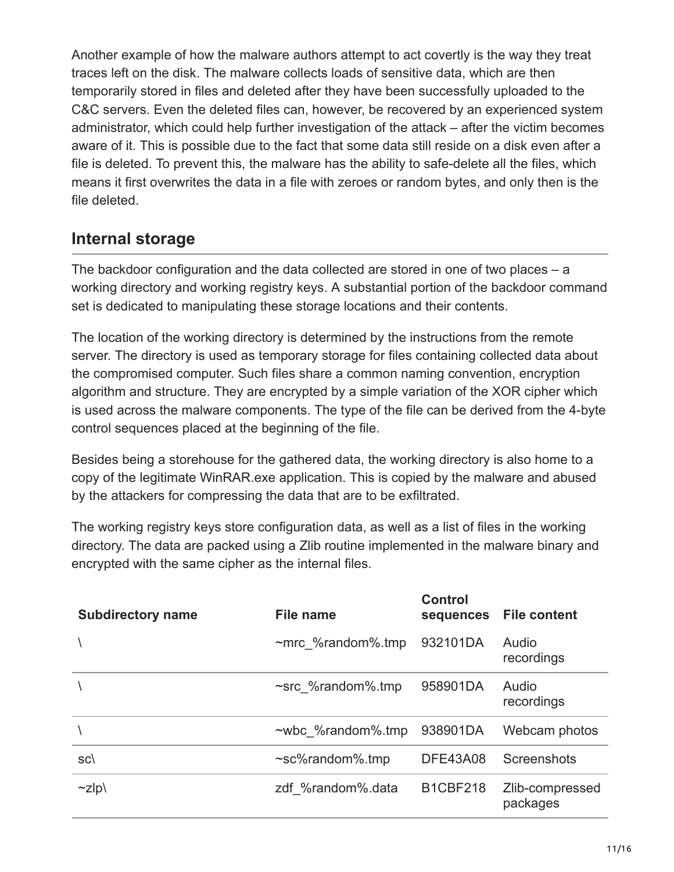Another example of how the malware authors attempt to act covertly is the way they treat traces left on the disk. The malware collects loads of sensitive data, which are then temporarily stored in files and deleted after they have been successfully uploaded to the C&C servers. Even the deleted files can, however, be recovered by an experienced system administrator, which could help further investigation of the attack – after the victim becomes aware of it. This is possible due to the fact that some data still reside on a disk even after a file is deleted. To prevent this, the malware has the ability to safe-delete all the files, which means it first overwrites the data in a file with zeroes or random bytes, and only then is the file deleted.

## **Internal storage**

The backdoor configuration and the data collected are stored in one of two places – a working directory and working registry keys. A substantial portion of the backdoor command set is dedicated to manipulating these storage locations and their contents.

The location of the working directory is determined by the instructions from the remote server. The directory is used as temporary storage for files containing collected data about the compromised computer. Such files share a common naming convention, encryption algorithm and structure. They are encrypted by a simple variation of the XOR cipher which is used across the malware components. The type of the file can be derived from the 4-byte control sequences placed at the beginning of the file.

Besides being a storehouse for the gathered data, the working directory is also home to a copy of the legitimate WinRAR.exe application. This is copied by the malware and abused by the attackers for compressing the data that are to be exfiltrated.

The working registry keys store configuration data, as well as a list of files in the working directory. The data are packed using a Zlib routine implemented in the malware binary and encrypted with the same cipher as the internal files.

| <b>Subdirectory name</b> | File name                | <b>Control</b><br>sequences | <b>File content</b>         |
|--------------------------|--------------------------|-----------------------------|-----------------------------|
|                          | $~\sim$ mrc %random%.tmp | 932101DA                    | Audio<br>recordings         |
|                          | ~src %random%.tmp        | 958901DA                    | Audio<br>recordings         |
|                          | $\sim$ wbc %random%.tmp  | 938901DA                    | Webcam photos               |
| SC(                      | $\sim$ sc%random%.tmp    | <b>DFE43A08</b>             | Screenshots                 |
| $\sim$ zlp $\setminus$   | zdf %random%.data        | <b>B1CBF218</b>             | Zlib-compressed<br>packages |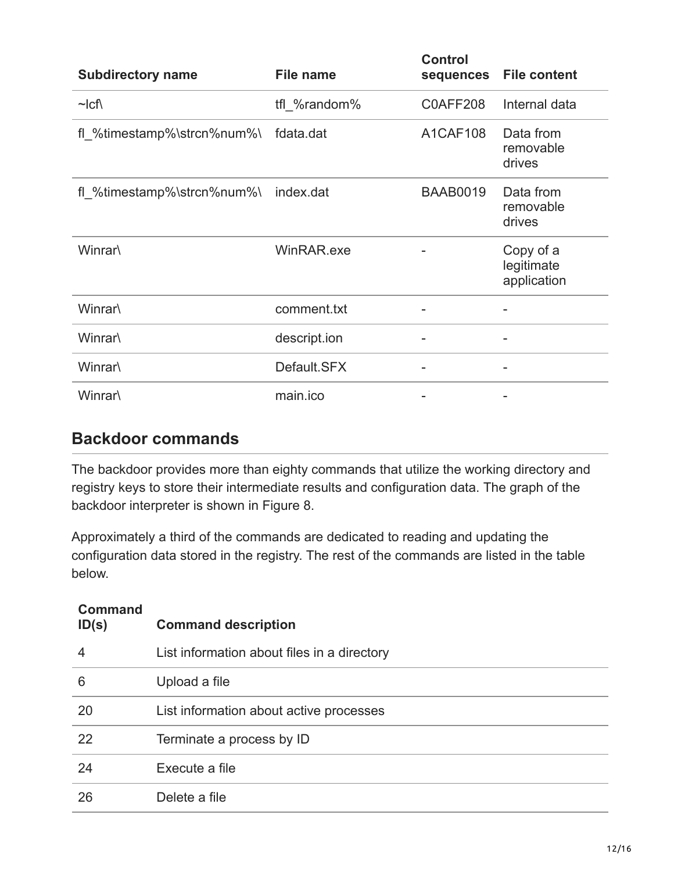| <b>Subdirectory name</b>   | <b>File name</b> | <b>Control</b><br>sequences | <b>File content</b>                    |
|----------------------------|------------------|-----------------------------|----------------------------------------|
| $\sim$ Icf                 | tfl %random%     | C0AFF208                    | Internal data                          |
| fl %timestamp%\strcn%num%\ | fdata.dat        | A1CAF108                    | Data from<br>removable<br>drives       |
| fl_%timestamp%\strcn%num%\ | index.dat        | <b>BAAB0019</b>             | Data from<br>removable<br>drives       |
| Winrar\                    | WinRAR.exe       |                             | Copy of a<br>legitimate<br>application |
| Winrar\                    | comment.txt      |                             |                                        |
| Winrar\                    | descript.ion     |                             |                                        |
| Winrar\                    | Default.SFX      |                             |                                        |
| Winrar\                    | main.ico         |                             |                                        |

### **Backdoor commands**

The backdoor provides more than eighty commands that utilize the working directory and registry keys to store their intermediate results and configuration data. The graph of the backdoor interpreter is shown in Figure 8.

Approximately a third of the commands are dedicated to reading and updating the configuration data stored in the registry. The rest of the commands are listed in the table below.

| <b>Command</b><br>ID(s) | <b>Command description</b>                  |
|-------------------------|---------------------------------------------|
| 4                       | List information about files in a directory |
| 6                       | Upload a file                               |
| 20                      | List information about active processes     |
| 22                      | Terminate a process by ID                   |
| 24                      | Execute a file                              |
| 26                      | Delete a file                               |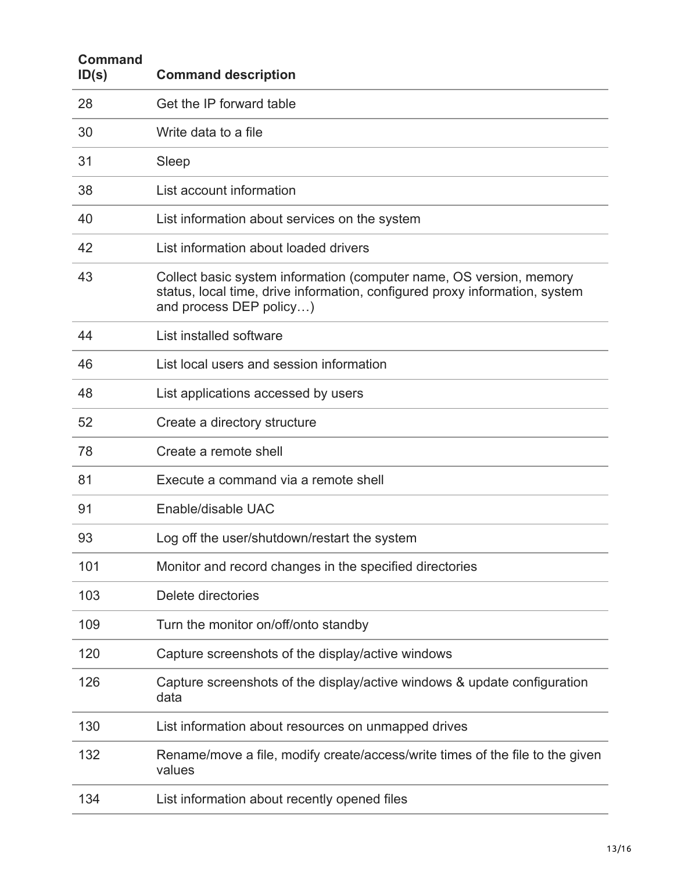| <b>Command</b><br>ID(s) | <b>Command description</b>                                                                                                                                                    |
|-------------------------|-------------------------------------------------------------------------------------------------------------------------------------------------------------------------------|
| 28                      | Get the IP forward table                                                                                                                                                      |
| 30                      | Write data to a file                                                                                                                                                          |
| 31                      | Sleep                                                                                                                                                                         |
| 38                      | List account information                                                                                                                                                      |
| 40                      | List information about services on the system                                                                                                                                 |
| 42                      | List information about loaded drivers                                                                                                                                         |
| 43                      | Collect basic system information (computer name, OS version, memory<br>status, local time, drive information, configured proxy information, system<br>and process DEP policy) |
| 44                      | List installed software                                                                                                                                                       |
| 46                      | List local users and session information                                                                                                                                      |
| 48                      | List applications accessed by users                                                                                                                                           |
| 52                      | Create a directory structure                                                                                                                                                  |
| 78                      | Create a remote shell                                                                                                                                                         |
| 81                      | Execute a command via a remote shell                                                                                                                                          |
| 91                      | Enable/disable UAC                                                                                                                                                            |
| 93                      | Log off the user/shutdown/restart the system                                                                                                                                  |
| 101                     | Monitor and record changes in the specified directories                                                                                                                       |
| 103                     | Delete directories                                                                                                                                                            |
| 109                     | Turn the monitor on/off/onto standby                                                                                                                                          |
| 120                     | Capture screenshots of the display/active windows                                                                                                                             |
| 126                     | Capture screenshots of the display/active windows & update configuration<br>data                                                                                              |
| 130                     | List information about resources on unmapped drives                                                                                                                           |
| 132                     | Rename/move a file, modify create/access/write times of the file to the given<br>values                                                                                       |
| 134                     | List information about recently opened files                                                                                                                                  |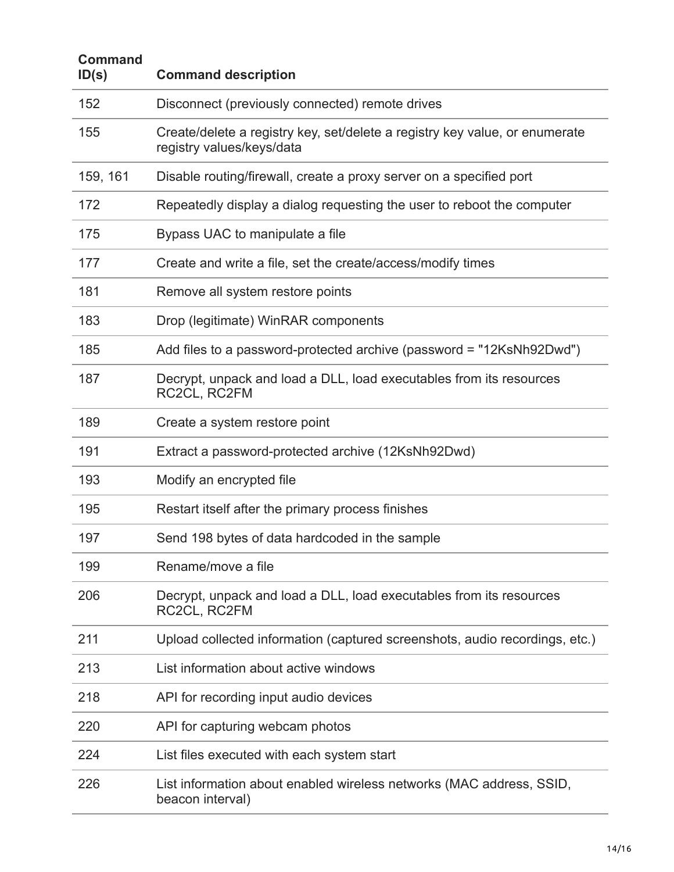| <b>Command</b><br>ID(s) | <b>Command description</b>                                                                               |
|-------------------------|----------------------------------------------------------------------------------------------------------|
| 152                     | Disconnect (previously connected) remote drives                                                          |
| 155                     | Create/delete a registry key, set/delete a registry key value, or enumerate<br>registry values/keys/data |
| 159, 161                | Disable routing/firewall, create a proxy server on a specified port                                      |
| 172                     | Repeatedly display a dialog requesting the user to reboot the computer                                   |
| 175                     | Bypass UAC to manipulate a file                                                                          |
| 177                     | Create and write a file, set the create/access/modify times                                              |
| 181                     | Remove all system restore points                                                                         |
| 183                     | Drop (legitimate) WinRAR components                                                                      |
| 185                     | Add files to a password-protected archive (password = "12KsNh92Dwd")                                     |
| 187                     | Decrypt, unpack and load a DLL, load executables from its resources<br>RC2CL, RC2FM                      |
| 189                     | Create a system restore point                                                                            |
| 191                     | Extract a password-protected archive (12KsNh92Dwd)                                                       |
| 193                     | Modify an encrypted file                                                                                 |
| 195                     | Restart itself after the primary process finishes                                                        |
| 197                     | Send 198 bytes of data hardcoded in the sample                                                           |
| 199                     | Rename/move a file                                                                                       |
| 206                     | Decrypt, unpack and load a DLL, load executables from its resources<br>RC2CL, RC2FM                      |
| 211                     | Upload collected information (captured screenshots, audio recordings, etc.)                              |
| 213                     | List information about active windows                                                                    |
| 218                     | API for recording input audio devices                                                                    |
| 220                     | API for capturing webcam photos                                                                          |
| 224                     | List files executed with each system start                                                               |
| 226                     | List information about enabled wireless networks (MAC address, SSID,<br>beacon interval)                 |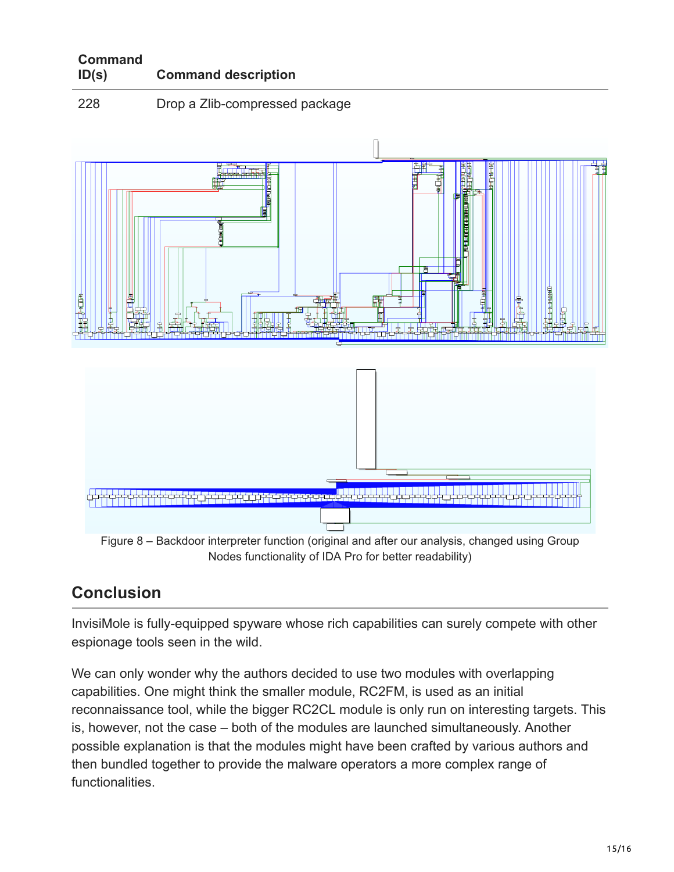| <b>Command</b> |                            |
|----------------|----------------------------|
| ID(s)          | <b>Command description</b> |

228 Drop a Zlib-compressed package



## **Conclusion**

InvisiMole is fully-equipped spyware whose rich capabilities can surely compete with other espionage tools seen in the wild.

We can only wonder why the authors decided to use two modules with overlapping capabilities. One might think the smaller module, RC2FM, is used as an initial reconnaissance tool, while the bigger RC2CL module is only run on interesting targets. This is, however, not the case – both of the modules are launched simultaneously. Another possible explanation is that the modules might have been crafted by various authors and then bundled together to provide the malware operators a more complex range of functionalities.